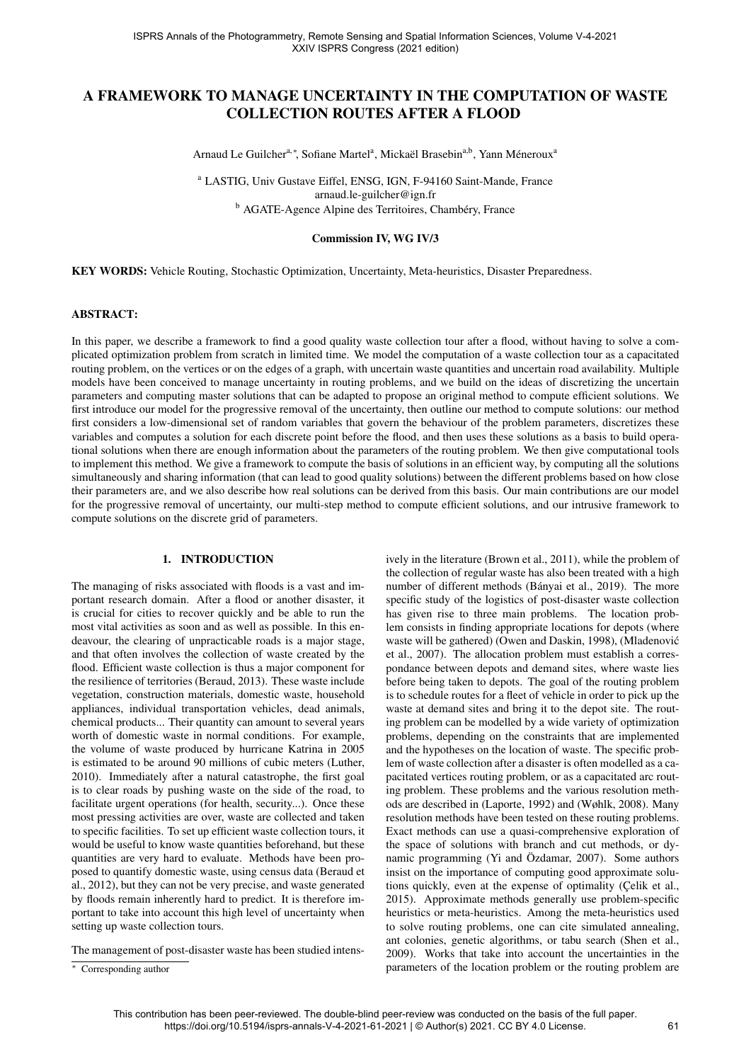# A FRAMEWORK TO MANAGE UNCERTAINTY IN THE COMPUTATION OF WASTE COLLECTION ROUTES AFTER A FLOOD

Arnaud Le Guilcher<sup>a,∗</sup>, Sofiane Martel<sup>a</sup>, Mickaël Brasebin<sup>a,b</sup>, Yann Méneroux<sup>a</sup>

<sup>a</sup> LASTIG, Univ Gustave Eiffel, ENSG, IGN, F-94160 Saint-Mande, France arnaud.le-guilcher@ign.fr <sup>b</sup> AGATE-Agence Alpine des Territoires, Chambéry, France

#### Commission IV, WG IV/3

KEY WORDS: Vehicle Routing, Stochastic Optimization, Uncertainty, Meta-heuristics, Disaster Preparedness.

### ABSTRACT:

In this paper, we describe a framework to find a good quality waste collection tour after a flood, without having to solve a complicated optimization problem from scratch in limited time. We model the computation of a waste collection tour as a capacitated routing problem, on the vertices or on the edges of a graph, with uncertain waste quantities and uncertain road availability. Multiple models have been conceived to manage uncertainty in routing problems, and we build on the ideas of discretizing the uncertain parameters and computing master solutions that can be adapted to propose an original method to compute efficient solutions. We first introduce our model for the progressive removal of the uncertainty, then outline our method to compute solutions: our method first considers a low-dimensional set of random variables that govern the behaviour of the problem parameters, discretizes these variables and computes a solution for each discrete point before the flood, and then uses these solutions as a basis to build operational solutions when there are enough information about the parameters of the routing problem. We then give computational tools to implement this method. We give a framework to compute the basis of solutions in an efficient way, by computing all the solutions simultaneously and sharing information (that can lead to good quality solutions) between the different problems based on how close their parameters are, and we also describe how real solutions can be derived from this basis. Our main contributions are our model for the progressive removal of uncertainty, our multi-step method to compute efficient solutions, and our intrusive framework to compute solutions on the discrete grid of parameters.

### 1. INTRODUCTION

The managing of risks associated with floods is a vast and important research domain. After a flood or another disaster, it is crucial for cities to recover quickly and be able to run the most vital activities as soon and as well as possible. In this endeavour, the clearing of unpracticable roads is a major stage, and that often involves the collection of waste created by the flood. Efficient waste collection is thus a major component for the resilience of territories (Beraud, 2013). These waste include vegetation, construction materials, domestic waste, household appliances, individual transportation vehicles, dead animals, chemical products... Their quantity can amount to several years worth of domestic waste in normal conditions. For example, the volume of waste produced by hurricane Katrina in 2005 is estimated to be around 90 millions of cubic meters (Luther, 2010). Immediately after a natural catastrophe, the first goal is to clear roads by pushing waste on the side of the road, to facilitate urgent operations (for health, security...). Once these most pressing activities are over, waste are collected and taken to specific facilities. To set up efficient waste collection tours, it would be useful to know waste quantities beforehand, but these quantities are very hard to evaluate. Methods have been proposed to quantify domestic waste, using census data (Beraud et al., 2012), but they can not be very precise, and waste generated by floods remain inherently hard to predict. It is therefore important to take into account this high level of uncertainty when setting up waste collection tours.

The management of post-disaster waste has been studied intens-

ively in the literature (Brown et al., 2011), while the problem of the collection of regular waste has also been treated with a high number of different methods (Bányai et al., 2019). The more specific study of the logistics of post-disaster waste collection has given rise to three main problems. The location problem consists in finding appropriate locations for depots (where waste will be gathered) (Owen and Daskin, 1998), (Mladenovic´ et al., 2007). The allocation problem must establish a correspondance between depots and demand sites, where waste lies before being taken to depots. The goal of the routing problem is to schedule routes for a fleet of vehicle in order to pick up the waste at demand sites and bring it to the depot site. The routing problem can be modelled by a wide variety of optimization problems, depending on the constraints that are implemented and the hypotheses on the location of waste. The specific problem of waste collection after a disaster is often modelled as a capacitated vertices routing problem, or as a capacitated arc routing problem. These problems and the various resolution methods are described in (Laporte, 1992) and (Wøhlk, 2008). Many resolution methods have been tested on these routing problems. Exact methods can use a quasi-comprehensive exploration of the space of solutions with branch and cut methods, or dynamic programming (Yi and Özdamar,  $2007$ ). Some authors insist on the importance of computing good approximate solutions quickly, even at the expense of optimality (Çelik et al., 2015). Approximate methods generally use problem-specific heuristics or meta-heuristics. Among the meta-heuristics used to solve routing problems, one can cite simulated annealing, ant colonies, genetic algorithms, or tabu search (Shen et al., 2009). Works that take into account the uncertainties in the parameters of the location problem or the routing problem are

<sup>∗</sup> Corresponding author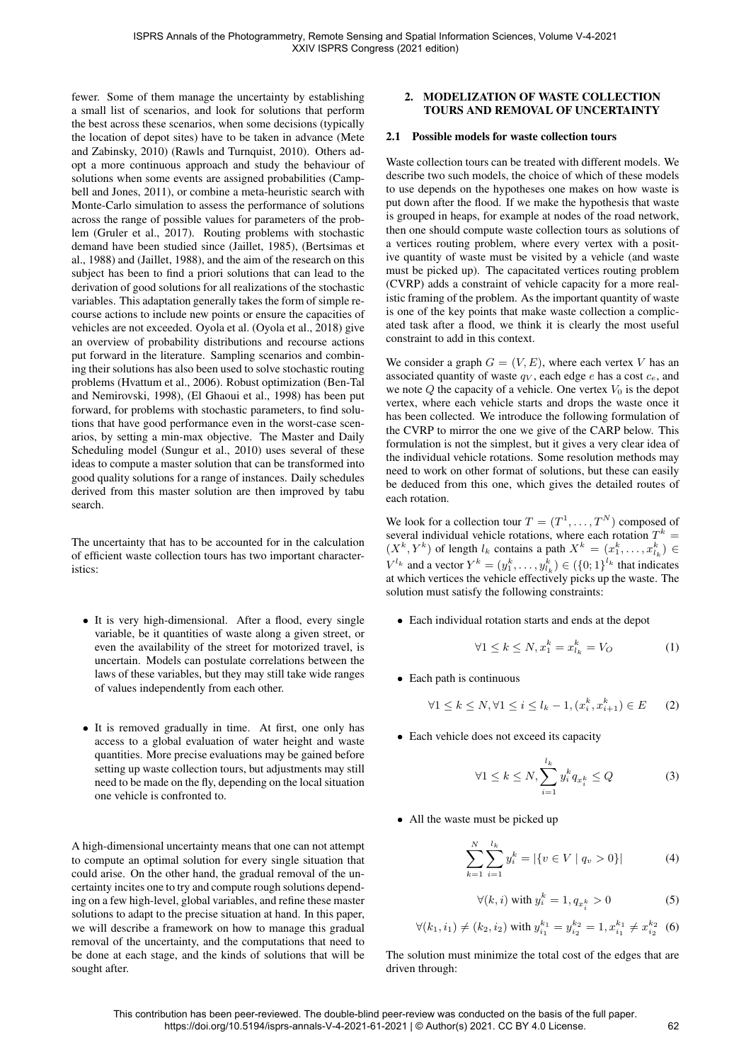fewer. Some of them manage the uncertainty by establishing a small list of scenarios, and look for solutions that perform the best across these scenarios, when some decisions (typically the location of depot sites) have to be taken in advance (Mete and Zabinsky, 2010) (Rawls and Turnquist, 2010). Others adopt a more continuous approach and study the behaviour of solutions when some events are assigned probabilities (Campbell and Jones, 2011), or combine a meta-heuristic search with Monte-Carlo simulation to assess the performance of solutions across the range of possible values for parameters of the problem (Gruler et al., 2017). Routing problems with stochastic demand have been studied since (Jaillet, 1985), (Bertsimas et al., 1988) and (Jaillet, 1988), and the aim of the research on this subject has been to find a priori solutions that can lead to the derivation of good solutions for all realizations of the stochastic variables. This adaptation generally takes the form of simple recourse actions to include new points or ensure the capacities of vehicles are not exceeded. Oyola et al. (Oyola et al., 2018) give an overview of probability distributions and recourse actions put forward in the literature. Sampling scenarios and combining their solutions has also been used to solve stochastic routing problems (Hvattum et al., 2006). Robust optimization (Ben-Tal and Nemirovski, 1998), (El Ghaoui et al., 1998) has been put forward, for problems with stochastic parameters, to find solutions that have good performance even in the worst-case scenarios, by setting a min-max objective. The Master and Daily Scheduling model (Sungur et al., 2010) uses several of these ideas to compute a master solution that can be transformed into good quality solutions for a range of instances. Daily schedules derived from this master solution are then improved by tabu search.

The uncertainty that has to be accounted for in the calculation of efficient waste collection tours has two important characteristics:

- It is very high-dimensional. After a flood, every single variable, be it quantities of waste along a given street, or even the availability of the street for motorized travel, is uncertain. Models can postulate correlations between the laws of these variables, but they may still take wide ranges of values independently from each other.
- It is removed gradually in time. At first, one only has access to a global evaluation of water height and waste quantities. More precise evaluations may be gained before setting up waste collection tours, but adjustments may still need to be made on the fly, depending on the local situation one vehicle is confronted to.

A high-dimensional uncertainty means that one can not attempt to compute an optimal solution for every single situation that could arise. On the other hand, the gradual removal of the uncertainty incites one to try and compute rough solutions depending on a few high-level, global variables, and refine these master solutions to adapt to the precise situation at hand. In this paper, we will describe a framework on how to manage this gradual removal of the uncertainty, and the computations that need to be done at each stage, and the kinds of solutions that will be sought after.

# 2. MODELIZATION OF WASTE COLLECTION TOURS AND REMOVAL OF UNCERTAINTY

#### 2.1 Possible models for waste collection tours

Waste collection tours can be treated with different models. We describe two such models, the choice of which of these models to use depends on the hypotheses one makes on how waste is put down after the flood. If we make the hypothesis that waste is grouped in heaps, for example at nodes of the road network, then one should compute waste collection tours as solutions of a vertices routing problem, where every vertex with a positive quantity of waste must be visited by a vehicle (and waste must be picked up). The capacitated vertices routing problem (CVRP) adds a constraint of vehicle capacity for a more realistic framing of the problem. As the important quantity of waste is one of the key points that make waste collection a complicated task after a flood, we think it is clearly the most useful constraint to add in this context.

We consider a graph  $G = (V, E)$ , where each vertex V has an associated quantity of waste  $q_V$ , each edge e has a cost  $c_e$ , and we note  $Q$  the capacity of a vehicle. One vertex  $V_0$  is the depot vertex, where each vehicle starts and drops the waste once it has been collected. We introduce the following formulation of the CVRP to mirror the one we give of the CARP below. This formulation is not the simplest, but it gives a very clear idea of the individual vehicle rotations. Some resolution methods may need to work on other format of solutions, but these can easily be deduced from this one, which gives the detailed routes of each rotation.

We look for a collection tour  $T = (T^1, \dots, T^N)$  composed of several individual vehicle rotations, where each rotation  $T^k$  =  $(X^k, Y^k)$  of length  $l_k$  contains a path  $X^k = (x_1^k, \ldots, x_{l_k}^k) \in$  $V^{l_k}$  and a vector  $Y^k = (y_1^k, \dots, y_{l_k}^k) \in (\{0, 1\}^{l_k})$  that indicates at which vertices the vehicle effectively picks up the waste. The solution must satisfy the following constraints:

• Each individual rotation starts and ends at the depot

$$
\forall 1 \le k \le N, x_1^k = x_{l_k}^k = V_O \tag{1}
$$

• Each path is continuous

$$
\forall 1 \le k \le N, \forall 1 \le i \le l_k - 1, (x_i^k, x_{i+1}^k) \in E \qquad (2)
$$

• Each vehicle does not exceed its capacity

$$
\forall 1 \le k \le N, \sum_{i=1}^{l_k} y_i^k q_{x_i^k} \le Q \tag{3}
$$

• All the waste must be picked up

$$
\sum_{k=1}^{N} \sum_{i=1}^{l_k} y_i^k = |\{v \in V \mid q_v > 0\}| \tag{4}
$$

$$
\forall (k, i) \text{ with } y_i^k = 1, q_{x_i^k} > 0 \tag{5}
$$

$$
\forall (k_1, i_1) \neq (k_2, i_2)
$$
 with  $y_{i_1}^{k_1} = y_{i_2}^{k_2} = 1, x_{i_1}^{k_1} \neq x_{i_2}^{k_2}$  (6)

The solution must minimize the total cost of the edges that are driven through: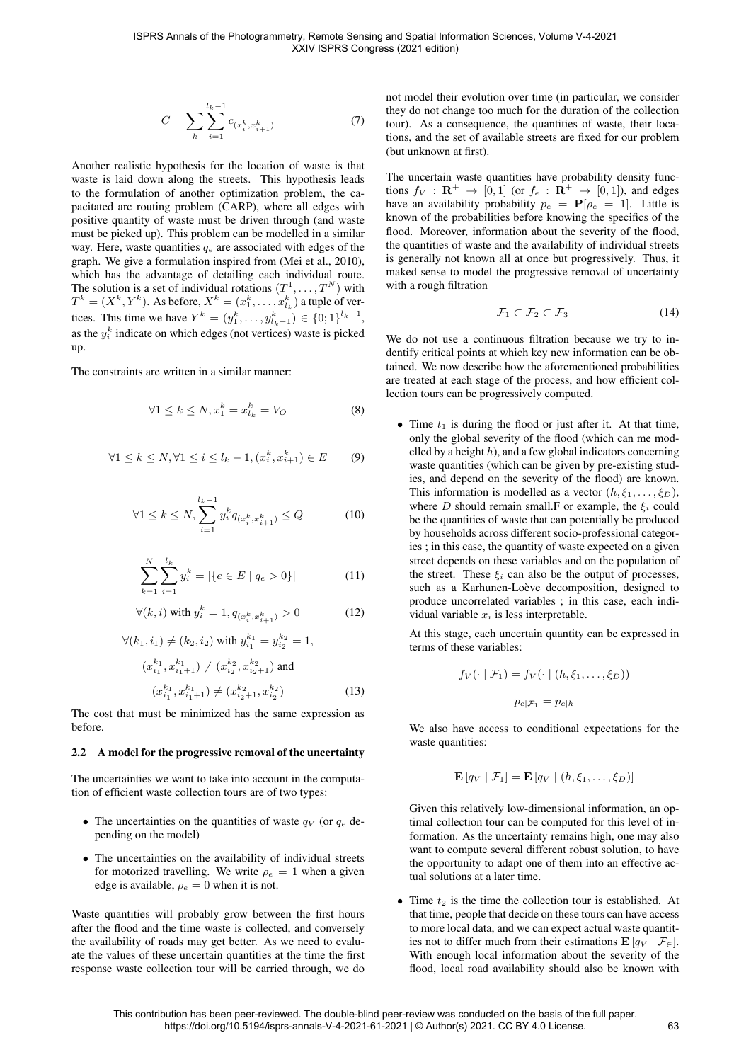$$
C = \sum_{k} \sum_{i=1}^{l_k - 1} c_{(x_i^k, x_{i+1}^k)} \tag{7}
$$

Another realistic hypothesis for the location of waste is that waste is laid down along the streets. This hypothesis leads to the formulation of another optimization problem, the capacitated arc routing problem (CARP), where all edges with positive quantity of waste must be driven through (and waste must be picked up). This problem can be modelled in a similar way. Here, waste quantities  $q_e$  are associated with edges of the graph. We give a formulation inspired from (Mei et al., 2010), which has the advantage of detailing each individual route. The solution is a set of individual rotations  $(T^1, \ldots, T^N)$  with  $T^k = (X^k, Y^k)$ . As before,  $X^k = (x_1^k, \dots, x_{l_k}^k)$  a tuple of vertices. This time we have  $Y^k = (y_1^k, \dots, y_{l_k-1}^k) \in \{0; 1\}^{l_k-1}$ , as the  $y_i^k$  indicate on which edges (not vertices) waste is picked up.

The constraints are written in a similar manner:

$$
\forall 1 \le k \le N, x_1^k = x_{l_k}^k = V_O \tag{8}
$$

$$
\forall 1 \le k \le N, \forall 1 \le i \le l_k - 1, (x_i^k, x_{i+1}^k) \in E \tag{9}
$$

$$
\forall 1 \le k \le N, \sum_{i=1}^{l_k - 1} y_i^k q_{(x_i^k, x_{i+1}^k)} \le Q \tag{10}
$$

$$
\sum_{k=1}^{N} \sum_{i=1}^{l_k} y_i^k = |\{e \in E \mid q_e > 0\}| \tag{11}
$$

$$
\forall (k, i) \text{ with } y_i^k = 1, q_{(x_i^k, x_{i+1}^k)} > 0 \tag{12}
$$

$$
\forall (k_1, i_1) \neq (k_2, i_2) \text{ with } y_{i_1}^{k_1} = y_{i_2}^{k_2} = 1,
$$
  
\n
$$
(x_{i_1}^{k_1}, x_{i_1+1}^{k_1}) \neq (x_{i_2}^{k_2}, x_{i_2+1}^{k_2}) \text{ and}
$$
  
\n
$$
(x_{i_1}^{k_1}, x_{i_1+1}^{k_1}) \neq (x_{i_2+1}^{k_2}, x_{i_2}^{k_2})
$$
\n(13)

The cost that must be minimized has the same expression as before.

#### 2.2 A model for the progressive removal of the uncertainty

The uncertainties we want to take into account in the computation of efficient waste collection tours are of two types:

- The uncertainties on the quantities of waste  $q_V$  (or  $q_e$  depending on the model)
- The uncertainties on the availability of individual streets for motorized travelling. We write  $\rho_e = 1$  when a given edge is available,  $\rho_e = 0$  when it is not.

Waste quantities will probably grow between the first hours after the flood and the time waste is collected, and conversely the availability of roads may get better. As we need to evaluate the values of these uncertain quantities at the time the first response waste collection tour will be carried through, we do not model their evolution over time (in particular, we consider they do not change too much for the duration of the collection tour). As a consequence, the quantities of waste, their locations, and the set of available streets are fixed for our problem (but unknown at first).

The uncertain waste quantities have probability density functions  $f_V : \mathbf{R}^+ \to [0, 1]$  (or  $f_e : \mathbf{R}^+ \to [0, 1]$ ), and edges have an availability probability  $p_e = P[\rho_e = 1]$ . Little is known of the probabilities before knowing the specifics of the flood. Moreover, information about the severity of the flood, the quantities of waste and the availability of individual streets is generally not known all at once but progressively. Thus, it maked sense to model the progressive removal of uncertainty with a rough filtration

$$
\mathcal{F}_1 \subset \mathcal{F}_2 \subset \mathcal{F}_3 \tag{14}
$$

We do not use a continuous filtration because we try to indentify critical points at which key new information can be obtained. We now describe how the aforementioned probabilities are treated at each stage of the process, and how efficient collection tours can be progressively computed.

• Time  $t_1$  is during the flood or just after it. At that time, only the global severity of the flood (which can me modelled by a height  $h$ ), and a few global indicators concerning waste quantities (which can be given by pre-existing studies, and depend on the severity of the flood) are known. This information is modelled as a vector  $(h, \xi_1, \ldots, \xi_D)$ , where D should remain small.F or example, the  $\xi_i$  could be the quantities of waste that can potentially be produced by households across different socio-professional categories ; in this case, the quantity of waste expected on a given street depends on these variables and on the population of the street. These  $\xi_i$  can also be the output of processes, such as a Karhunen-Loève decomposition, designed to produce uncorrelated variables ; in this case, each individual variable  $x_i$  is less interpretable.

At this stage, each uncertain quantity can be expressed in terms of these variables:

$$
f_V(\cdot \mid \mathcal{F}_1) = f_V(\cdot \mid (h, \xi_1, \dots, \xi_D))
$$

$$
p_{e|\mathcal{F}_1} = p_{e|h}
$$

We also have access to conditional expectations for the waste quantities:

$$
\mathbf{E}\left[q_V \mid \mathcal{F}_1\right] = \mathbf{E}\left[q_V \mid (h,\xi_1,\ldots,\xi_D)\right]
$$

Given this relatively low-dimensional information, an optimal collection tour can be computed for this level of information. As the uncertainty remains high, one may also want to compute several different robust solution, to have the opportunity to adapt one of them into an effective actual solutions at a later time.

• Time  $t_2$  is the time the collection tour is established. At that time, people that decide on these tours can have access to more local data, and we can expect actual waste quantities not to differ much from their estimations  $\mathbf{E}[q_V | \mathcal{F}_\infty].$ With enough local information about the severity of the flood, local road availability should also be known with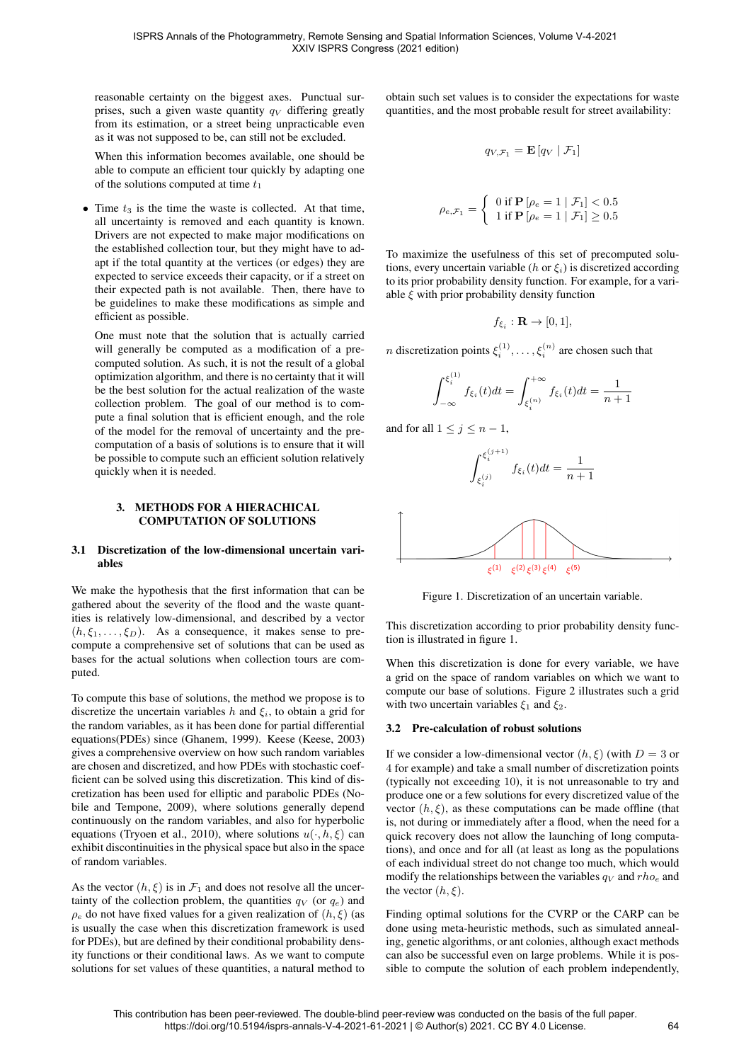reasonable certainty on the biggest axes. Punctual surprises, such a given waste quantity  $q_V$  differing greatly from its estimation, or a street being unpracticable even as it was not supposed to be, can still not be excluded.

When this information becomes available, one should be able to compute an efficient tour quickly by adapting one of the solutions computed at time  $t_1$ 

• Time  $t_3$  is the time the waste is collected. At that time, all uncertainty is removed and each quantity is known. Drivers are not expected to make major modifications on the established collection tour, but they might have to adapt if the total quantity at the vertices (or edges) they are expected to service exceeds their capacity, or if a street on their expected path is not available. Then, there have to be guidelines to make these modifications as simple and efficient as possible.

One must note that the solution that is actually carried will generally be computed as a modification of a precomputed solution. As such, it is not the result of a global optimization algorithm, and there is no certainty that it will be the best solution for the actual realization of the waste collection problem. The goal of our method is to compute a final solution that is efficient enough, and the role of the model for the removal of uncertainty and the precomputation of a basis of solutions is to ensure that it will be possible to compute such an efficient solution relatively quickly when it is needed.

#### 3. METHODS FOR A HIERACHICAL COMPUTATION OF SOLUTIONS

### 3.1 Discretization of the low-dimensional uncertain variables

We make the hypothesis that the first information that can be gathered about the severity of the flood and the waste quantities is relatively low-dimensional, and described by a vector  $(h, \xi_1, \ldots, \xi_D)$ . As a consequence, it makes sense to precompute a comprehensive set of solutions that can be used as bases for the actual solutions when collection tours are computed.

To compute this base of solutions, the method we propose is to discretize the uncertain variables h and  $\xi_i$ , to obtain a grid for the random variables, as it has been done for partial differential equations(PDEs) since (Ghanem, 1999). Keese (Keese, 2003) gives a comprehensive overview on how such random variables are chosen and discretized, and how PDEs with stochastic coefficient can be solved using this discretization. This kind of discretization has been used for elliptic and parabolic PDEs (Nobile and Tempone, 2009), where solutions generally depend continuously on the random variables, and also for hyperbolic equations (Tryoen et al., 2010), where solutions  $u(\cdot, h, \xi)$  can exhibit discontinuities in the physical space but also in the space of random variables.

As the vector  $(h, \xi)$  is in  $\mathcal{F}_1$  and does not resolve all the uncertainty of the collection problem, the quantities  $q_V$  (or  $q_e$ ) and  $\rho_e$  do not have fixed values for a given realization of  $(h, \xi)$  (as is usually the case when this discretization framework is used for PDEs), but are defined by their conditional probability density functions or their conditional laws. As we want to compute solutions for set values of these quantities, a natural method to obtain such set values is to consider the expectations for waste quantities, and the most probable result for street availability:

$$
q_{V,\mathcal{F}_1} = \mathbf{E}\left[q_V \mid \mathcal{F}_1\right]
$$

$$
\rho_{e,\mathcal{F}_1} = \begin{cases} 0 \text{ if } \mathbf{P} [\rho_e = 1 \mid \mathcal{F}_1] < 0.5 \\ 1 \text{ if } \mathbf{P} [\rho_e = 1 \mid \mathcal{F}_1] \ge 0.5 \end{cases}
$$

To maximize the usefulness of this set of precomputed solutions, every uncertain variable ( $h$  or  $\xi_i$ ) is discretized according to its prior probability density function. For example, for a variable  $\xi$  with prior probability density function

$$
f_{\xi_i}: \mathbf{R} \to [0,1],
$$

*n* discretization points  $\xi_i^{(1)}, \dots, \xi_i^{(n)}$  are chosen such that

$$
\int_{-\infty}^{\xi_i^{(1)}} f_{\xi_i}(t)dt = \int_{\xi_i^{(n)}}^{+\infty} f_{\xi_i}(t)dt = \frac{1}{n+1}
$$

and for all  $1 \leq j \leq n-1$ ,



Figure 1. Discretization of an uncertain variable.

This discretization according to prior probability density function is illustrated in figure 1.

When this discretization is done for every variable, we have a grid on the space of random variables on which we want to compute our base of solutions. Figure 2 illustrates such a grid with two uncertain variables  $\xi_1$  and  $\xi_2$ .

### 3.2 Pre-calculation of robust solutions

If we consider a low-dimensional vector  $(h, \xi)$  (with  $D = 3$  or 4 for example) and take a small number of discretization points (typically not exceeding 10), it is not unreasonable to try and produce one or a few solutions for every discretized value of the vector  $(h, \xi)$ , as these computations can be made offline (that is, not during or immediately after a flood, when the need for a quick recovery does not allow the launching of long computations), and once and for all (at least as long as the populations of each individual street do not change too much, which would modify the relationships between the variables  $q_V$  and  $rho_e$  and the vector  $(h, \xi)$ .

Finding optimal solutions for the CVRP or the CARP can be done using meta-heuristic methods, such as simulated annealing, genetic algorithms, or ant colonies, although exact methods can also be successful even on large problems. While it is possible to compute the solution of each problem independently,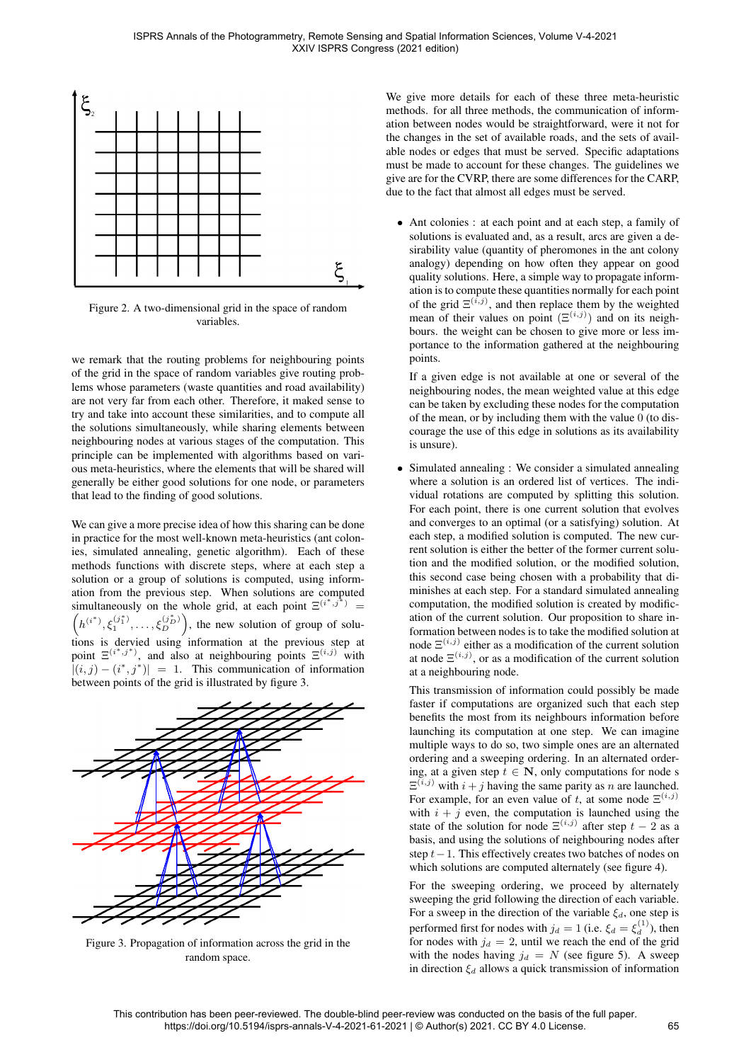

Figure 2. A two-dimensional grid in the space of random variables.

we remark that the routing problems for neighbouring points of the grid in the space of random variables give routing problems whose parameters (waste quantities and road availability) are not very far from each other. Therefore, it maked sense to try and take into account these similarities, and to compute all the solutions simultaneously, while sharing elements between neighbouring nodes at various stages of the computation. This principle can be implemented with algorithms based on various meta-heuristics, where the elements that will be shared will generally be either good solutions for one node, or parameters that lead to the finding of good solutions.

We can give a more precise idea of how this sharing can be done in practice for the most well-known meta-heuristics (ant colonies, simulated annealing, genetic algorithm). Each of these methods functions with discrete steps, where at each step a solution or a group of solutions is computed, using information from the previous step. When solutions are computed simultaneously on the whole grid, at each point  $\Xi^{(i^*,j^*)}$ simultaneously on the whole grid, at each point  $\Xi^{(i^*,j^*)} = (h^{(i^*)}, \xi_1^{(j_1^*)}, \dots, \xi_D^{(j_D^*)})$ , the new solution of group of solutions is dervied using information at the previous step at point  $\Xi^{(i^*,j^*)}$ , and also at neighbouring points  $\Xi^{(i,j)}$  with  $|(i, j) - (i^*, j^*)| = 1$ . This communication of information between points of the grid is illustrated by figure 3.



Figure 3. Propagation of information across the grid in the random space.

We give more details for each of these three meta-heuristic methods. for all three methods, the communication of information between nodes would be straightforward, were it not for the changes in the set of available roads, and the sets of available nodes or edges that must be served. Specific adaptations must be made to account for these changes. The guidelines we give are for the CVRP, there are some differences for the CARP, due to the fact that almost all edges must be served.

• Ant colonies : at each point and at each step, a family of solutions is evaluated and, as a result, arcs are given a desirability value (quantity of pheromones in the ant colony analogy) depending on how often they appear on good quality solutions. Here, a simple way to propagate information is to compute these quantities normally for each point of the grid  $\Xi^{(i,j)}$ , and then replace them by the weighted mean of their values on point  $(\Xi^{(i,j)})$  and on its neighbours. the weight can be chosen to give more or less importance to the information gathered at the neighbouring points.

If a given edge is not available at one or several of the neighbouring nodes, the mean weighted value at this edge can be taken by excluding these nodes for the computation of the mean, or by including them with the value 0 (to discourage the use of this edge in solutions as its availability is unsure).

• Simulated annealing : We consider a simulated annealing where a solution is an ordered list of vertices. The individual rotations are computed by splitting this solution. For each point, there is one current solution that evolves and converges to an optimal (or a satisfying) solution. At each step, a modified solution is computed. The new current solution is either the better of the former current solution and the modified solution, or the modified solution, this second case being chosen with a probability that diminishes at each step. For a standard simulated annealing computation, the modified solution is created by modification of the current solution. Our proposition to share information between nodes is to take the modified solution at node  $\Xi^{(i,j)}$  either as a modification of the current solution at node  $\Xi^{(i,j)}$ , or as a modification of the current solution at a neighbouring node.

This transmission of information could possibly be made faster if computations are organized such that each step benefits the most from its neighbours information before launching its computation at one step. We can imagine multiple ways to do so, two simple ones are an alternated ordering and a sweeping ordering. In an alternated ordering, at a given step  $t \in \mathbb{N}$ , only computations for node s  $\Xi^{(i,j)}$  with  $i + j$  having the same parity as n are launched. For example, for an even value of t, at some node  $\Xi^{(i,j)}$ with  $i + j$  even, the computation is launched using the state of the solution for node  $\Xi^{(i,j)}$  after step  $t-2$  as a basis, and using the solutions of neighbouring nodes after step t−1. This effectively creates two batches of nodes on which solutions are computed alternately (see figure 4).

For the sweeping ordering, we proceed by alternately sweeping the grid following the direction of each variable. For a sweep in the direction of the variable  $\xi_d$ , one step is performed first for nodes with  $j_d = 1$  (i.e.  $\xi_d = \xi_d^{(1)}$ ), then for nodes with  $j_d = 2$ , until we reach the end of the grid with the nodes having  $j_d = N$  (see figure 5). A sweep in direction  $\xi_d$  allows a quick transmission of information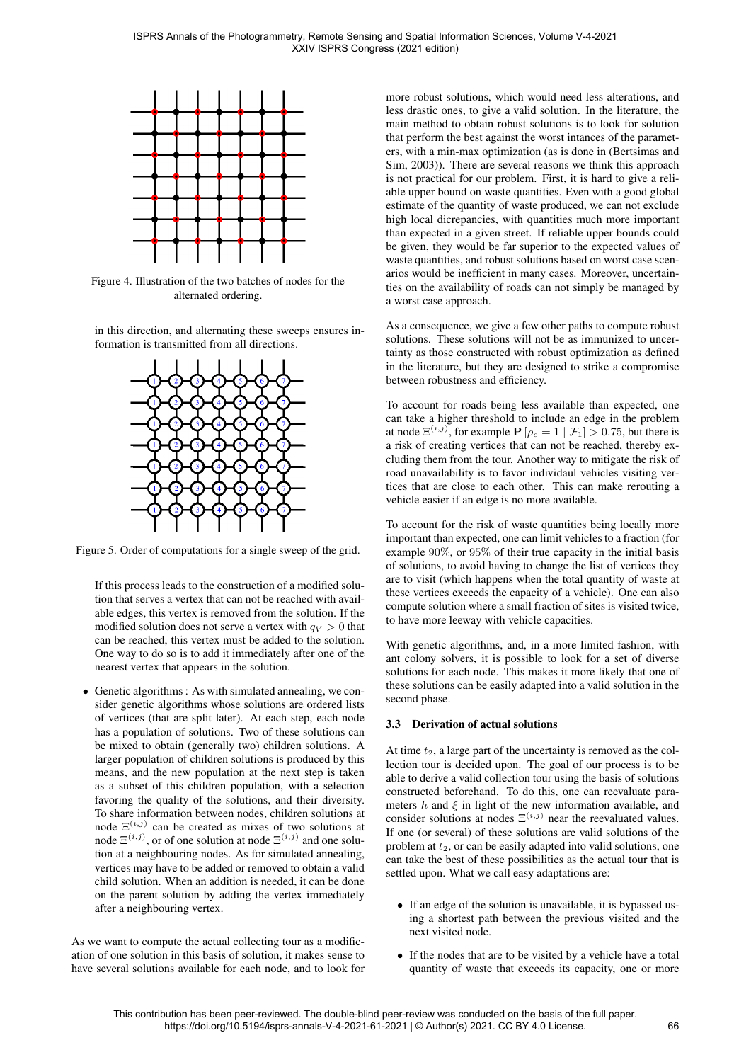

Figure 4. Illustration of the two batches of nodes for the alternated ordering.

in this direction, and alternating these sweeps ensures information is transmitted from all directions.



Figure 5. Order of computations for a single sweep of the grid.

If this process leads to the construction of a modified solution that serves a vertex that can not be reached with available edges, this vertex is removed from the solution. If the modified solution does not serve a vertex with  $q_V > 0$  that can be reached, this vertex must be added to the solution. One way to do so is to add it immediately after one of the nearest vertex that appears in the solution.

• Genetic algorithms : As with simulated annealing, we consider genetic algorithms whose solutions are ordered lists of vertices (that are split later). At each step, each node has a population of solutions. Two of these solutions can be mixed to obtain (generally two) children solutions. A larger population of children solutions is produced by this means, and the new population at the next step is taken as a subset of this children population, with a selection favoring the quality of the solutions, and their diversity. To share information between nodes, children solutions at node  $\Xi^{(i,j)}$  can be created as mixes of two solutions at node  $\Xi^{(i,j)}$ , or of one solution at node  $\Xi^{(i,j)}$  and one solution at a neighbouring nodes. As for simulated annealing, vertices may have to be added or removed to obtain a valid child solution. When an addition is needed, it can be done on the parent solution by adding the vertex immediately after a neighbouring vertex.

As we want to compute the actual collecting tour as a modification of one solution in this basis of solution, it makes sense to have several solutions available for each node, and to look for more robust solutions, which would need less alterations, and less drastic ones, to give a valid solution. In the literature, the main method to obtain robust solutions is to look for solution that perform the best against the worst intances of the parameters, with a min-max optimization (as is done in (Bertsimas and Sim, 2003)). There are several reasons we think this approach is not practical for our problem. First, it is hard to give a reliable upper bound on waste quantities. Even with a good global estimate of the quantity of waste produced, we can not exclude high local dicrepancies, with quantities much more important than expected in a given street. If reliable upper bounds could be given, they would be far superior to the expected values of waste quantities, and robust solutions based on worst case scenarios would be inefficient in many cases. Moreover, uncertainties on the availability of roads can not simply be managed by a worst case approach.

As a consequence, we give a few other paths to compute robust solutions. These solutions will not be as immunized to uncertainty as those constructed with robust optimization as defined in the literature, but they are designed to strike a compromise between robustness and efficiency.

To account for roads being less available than expected, one can take a higher threshold to include an edge in the problem at node  $\Xi^{(i,j)}$ , for example  $P[\rho_e = 1 \mid \mathcal{F}_1] > 0.75$ , but there is a risk of creating vertices that can not be reached, thereby excluding them from the tour. Another way to mitigate the risk of road unavailability is to favor individaul vehicles visiting vertices that are close to each other. This can make rerouting a vehicle easier if an edge is no more available.

To account for the risk of waste quantities being locally more important than expected, one can limit vehicles to a fraction (for example 90%, or 95% of their true capacity in the initial basis of solutions, to avoid having to change the list of vertices they are to visit (which happens when the total quantity of waste at these vertices exceeds the capacity of a vehicle). One can also compute solution where a small fraction of sites is visited twice, to have more leeway with vehicle capacities.

With genetic algorithms, and, in a more limited fashion, with ant colony solvers, it is possible to look for a set of diverse solutions for each node. This makes it more likely that one of these solutions can be easily adapted into a valid solution in the second phase.

# 3.3 Derivation of actual solutions

At time  $t_2$ , a large part of the uncertainty is removed as the collection tour is decided upon. The goal of our process is to be able to derive a valid collection tour using the basis of solutions constructed beforehand. To do this, one can reevaluate parameters h and  $\xi$  in light of the new information available, and consider solutions at nodes  $\Xi^{(i,j)}$  near the reevaluated values. If one (or several) of these solutions are valid solutions of the problem at  $t_2$ , or can be easily adapted into valid solutions, one can take the best of these possibilities as the actual tour that is settled upon. What we call easy adaptations are:

- If an edge of the solution is unavailable, it is bypassed using a shortest path between the previous visited and the next visited node.
- If the nodes that are to be visited by a vehicle have a total quantity of waste that exceeds its capacity, one or more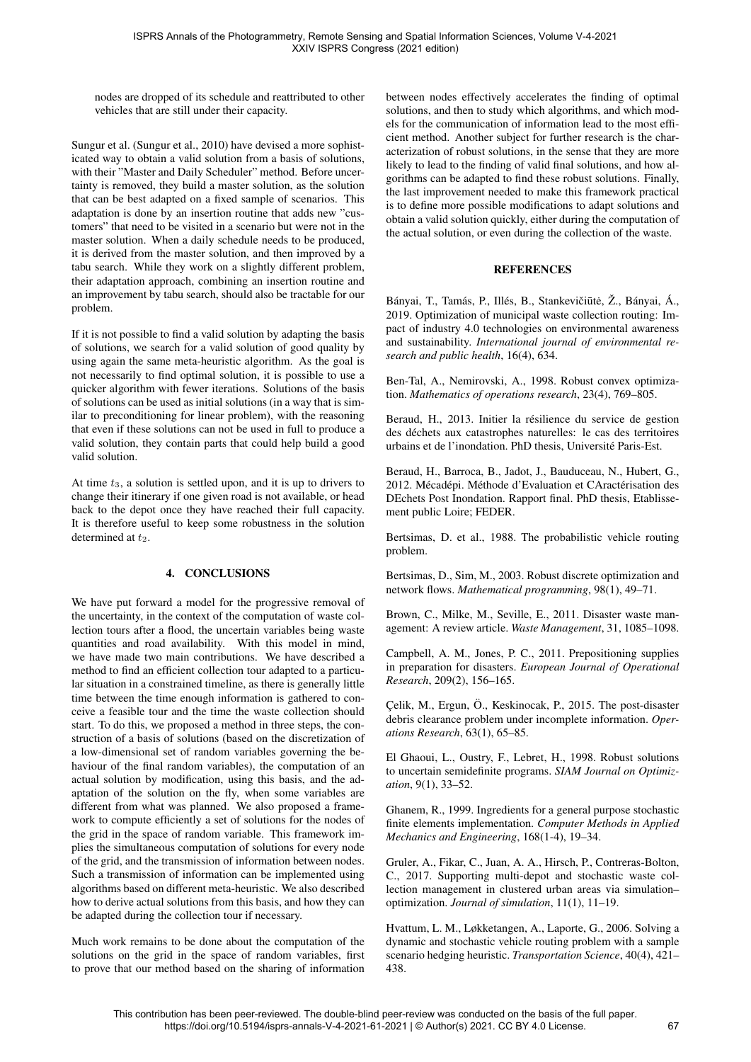nodes are dropped of its schedule and reattributed to other vehicles that are still under their capacity.

Sungur et al. (Sungur et al., 2010) have devised a more sophisticated way to obtain a valid solution from a basis of solutions, with their "Master and Daily Scheduler" method. Before uncertainty is removed, they build a master solution, as the solution that can be best adapted on a fixed sample of scenarios. This adaptation is done by an insertion routine that adds new "customers" that need to be visited in a scenario but were not in the master solution. When a daily schedule needs to be produced, it is derived from the master solution, and then improved by a tabu search. While they work on a slightly different problem, their adaptation approach, combining an insertion routine and an improvement by tabu search, should also be tractable for our problem.

If it is not possible to find a valid solution by adapting the basis of solutions, we search for a valid solution of good quality by using again the same meta-heuristic algorithm. As the goal is not necessarily to find optimal solution, it is possible to use a quicker algorithm with fewer iterations. Solutions of the basis of solutions can be used as initial solutions (in a way that is similar to preconditioning for linear problem), with the reasoning that even if these solutions can not be used in full to produce a valid solution, they contain parts that could help build a good valid solution.

At time  $t_3$ , a solution is settled upon, and it is up to drivers to change their itinerary if one given road is not available, or head back to the depot once they have reached their full capacity. It is therefore useful to keep some robustness in the solution determined at  $t_2$ .

# 4. CONCLUSIONS

We have put forward a model for the progressive removal of the uncertainty, in the context of the computation of waste collection tours after a flood, the uncertain variables being waste quantities and road availability. With this model in mind, we have made two main contributions. We have described a method to find an efficient collection tour adapted to a particular situation in a constrained timeline, as there is generally little time between the time enough information is gathered to conceive a feasible tour and the time the waste collection should start. To do this, we proposed a method in three steps, the construction of a basis of solutions (based on the discretization of a low-dimensional set of random variables governing the behaviour of the final random variables), the computation of an actual solution by modification, using this basis, and the adaptation of the solution on the fly, when some variables are different from what was planned. We also proposed a framework to compute efficiently a set of solutions for the nodes of the grid in the space of random variable. This framework implies the simultaneous computation of solutions for every node of the grid, and the transmission of information between nodes. Such a transmission of information can be implemented using algorithms based on different meta-heuristic. We also described how to derive actual solutions from this basis, and how they can be adapted during the collection tour if necessary.

Much work remains to be done about the computation of the solutions on the grid in the space of random variables, first to prove that our method based on the sharing of information between nodes effectively accelerates the finding of optimal solutions, and then to study which algorithms, and which models for the communication of information lead to the most efficient method. Another subject for further research is the characterization of robust solutions, in the sense that they are more likely to lead to the finding of valid final solutions, and how algorithms can be adapted to find these robust solutions. Finally, the last improvement needed to make this framework practical is to define more possible modifications to adapt solutions and obtain a valid solution quickly, either during the computation of the actual solution, or even during the collection of the waste.

## **REFERENCES**

Bányai, T., Tamás, P., Illés, B., Stankevičiūtė, Ž., Bányai, Á., 2019. Optimization of municipal waste collection routing: Impact of industry 4.0 technologies on environmental awareness and sustainability. *International journal of environmental research and public health*, 16(4), 634.

Ben-Tal, A., Nemirovski, A., 1998. Robust convex optimization. *Mathematics of operations research*, 23(4), 769–805.

Beraud, H., 2013. Initier la résilience du service de gestion des déchets aux catastrophes naturelles: le cas des territoires urbains et de l'inondation. PhD thesis, Universite Paris-Est. ´

Beraud, H., Barroca, B., Jadot, J., Bauduceau, N., Hubert, G., 2012. Mécadépi. Méthode d'Evaluation et CAractérisation des DEchets Post Inondation. Rapport final. PhD thesis, Etablissement public Loire; FEDER.

Bertsimas, D. et al., 1988. The probabilistic vehicle routing problem.

Bertsimas, D., Sim, M., 2003. Robust discrete optimization and network flows. *Mathematical programming*, 98(1), 49–71.

Brown, C., Milke, M., Seville, E., 2011. Disaster waste management: A review article. *Waste Management*, 31, 1085–1098.

Campbell, A. M., Jones, P. C., 2011. Prepositioning supplies in preparation for disasters. *European Journal of Operational Research*, 209(2), 156–165.

Celik, M., Ergun, Ö., Keskinocak, P., 2015. The post-disaster debris clearance problem under incomplete information. *Operations Research*, 63(1), 65–85.

El Ghaoui, L., Oustry, F., Lebret, H., 1998. Robust solutions to uncertain semidefinite programs. *SIAM Journal on Optimization*, 9(1), 33–52.

Ghanem, R., 1999. Ingredients for a general purpose stochastic finite elements implementation. *Computer Methods in Applied Mechanics and Engineering*, 168(1-4), 19–34.

Gruler, A., Fikar, C., Juan, A. A., Hirsch, P., Contreras-Bolton, C., 2017. Supporting multi-depot and stochastic waste collection management in clustered urban areas via simulation– optimization. *Journal of simulation*, 11(1), 11–19.

Hvattum, L. M., Løkketangen, A., Laporte, G., 2006. Solving a dynamic and stochastic vehicle routing problem with a sample scenario hedging heuristic. *Transportation Science*, 40(4), 421– 438.